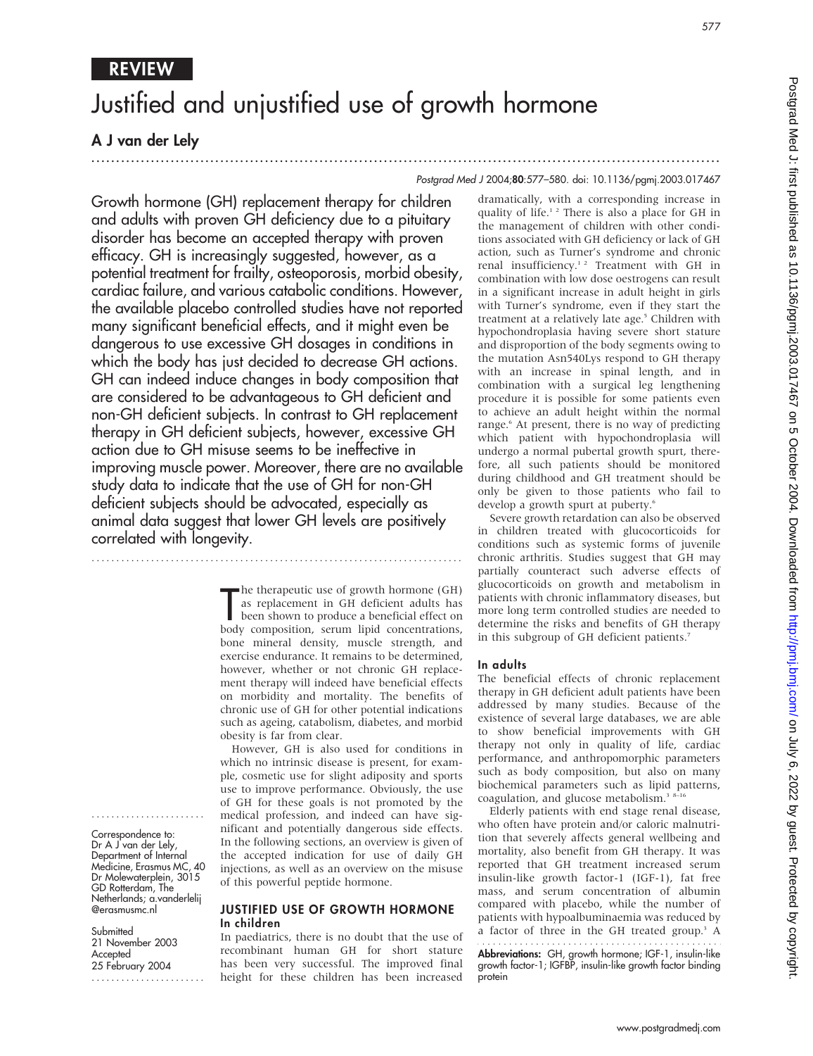# Justified and unjustified use of growth hormone

### A J van der Lely

REVIEW

## Postgrad Med J 2004;80:577–580. doi: 10.1136/pgmj.2003.017467

.............................................................................................................................. .

577

Growth hormone (GH) replacement therapy for children and adults with proven GH deficiency due to a pituitary disorder has become an accepted therapy with proven efficacy. GH is increasingly suggested, however, as a potential treatment for frailty, osteoporosis, morbid obesity, cardiac failure, and various catabolic conditions. However, the available placebo controlled studies have not reported many significant beneficial effects, and it might even be dangerous to use excessive GH dosages in conditions in which the body has just decided to decrease GH actions. GH can indeed induce changes in body composition that are considered to be advantageous to GH deficient and non-GH deficient subjects. In contrast to GH replacement therapy in GH deficient subjects, however, excessive GH action due to GH misuse seems to be ineffective in improving muscle power. Moreover, there are no available study data to indicate that the use of GH for non-GH deficient subjects should be advocated, especially as animal data suggest that lower GH levels are positively correlated with longevity.

...........................................................................

The therapeutic use of growth hormone (GH)<br>as replacement in GH deficient adults has<br>been shown to produce a beneficial effect on<br>body composition, serum lipid concentrations, he therapeutic use of growth hormone (GH) as replacement in GH deficient adults has been shown to produce a beneficial effect on bone mineral density, muscle strength, and exercise endurance. It remains to be determined, however, whether or not chronic GH replacement therapy will indeed have beneficial effects on morbidity and mortality. The benefits of chronic use of GH for other potential indications such as ageing, catabolism, diabetes, and morbid obesity is far from clear.

However, GH is also used for conditions in which no intrinsic disease is present, for example, cosmetic use for slight adiposity and sports use to improve performance. Obviously, the use of GH for these goals is not promoted by the medical profession, and indeed can have significant and potentially dangerous side effects. In the following sections, an overview is given of the accepted indication for use of daily GH injections, as well as an overview on the misuse of this powerful peptide hormone.

#### JUSTIFIED USE OF GROWTH HORMONE In children

In paediatrics, there is no doubt that the use of recombinant human GH for short stature has been very successful. The improved final height for these children has been increased dramatically, with a corresponding increase in quality of life.1 2 There is also a place for GH in the management of children with other conditions associated with GH deficiency or lack of GH action, such as Turner's syndrome and chronic renal insufficiency.1 2 Treatment with GH in combination with low dose oestrogens can result in a significant increase in adult height in girls with Turner's syndrome, even if they start the treatment at a relatively late age.<sup>5</sup> Children with hypochondroplasia having severe short stature and disproportion of the body segments owing to the mutation Asn540Lys respond to GH therapy with an increase in spinal length, and in combination with a surgical leg lengthening procedure it is possible for some patients even to achieve an adult height within the normal range.<sup>6</sup> At present, there is no way of predicting which patient with hypochondroplasia will undergo a normal pubertal growth spurt, therefore, all such patients should be monitored during childhood and GH treatment should be only be given to those patients who fail to develop a growth spurt at puberty.<sup>6</sup>

Severe growth retardation can also be observed in children treated with glucocorticoids for conditions such as systemic forms of juvenile chronic arthritis. Studies suggest that GH may partially counteract such adverse effects of glucocorticoids on growth and metabolism in patients with chronic inflammatory diseases, but more long term controlled studies are needed to determine the risks and benefits of GH therapy in this subgroup of GH deficient patients.7

#### In adults

The beneficial effects of chronic replacement therapy in GH deficient adult patients have been addressed by many studies. Because of the existence of several large databases, we are able to show beneficial improvements with GH therapy not only in quality of life, cardiac performance, and anthropomorphic parameters such as body composition, but also on many biochemical parameters such as lipid patterns, coagulation, and glucose metabolism.<sup>3 8-16</sup>

Elderly patients with end stage renal disease, who often have protein and/or caloric malnutrition that severely affects general wellbeing and mortality, also benefit from GH therapy. It was reported that GH treatment increased serum insulin-like growth factor-1 (IGF-1), fat free mass, and serum concentration of albumin compared with placebo, while the number of patients with hypoalbuminaemia was reduced by a factor of three in the GH treated group.<sup>3</sup> A Abbreviations: GH, growth hormone; IGF-1, insulin-like growth factor-1; IGFBP, insulin-like growth factor binding protein

Correspondence to: Dr A J van der Lely, Department of Internal Medicine, Erasmus MC, 40 Dr Molewaterplein, 3015 GD Rotterdam, The Netherlands; a.vanderlelij @erasmusmc.nl

.......................

**Submitted** 21 November 2003 Accepted 25 February 2004 .......................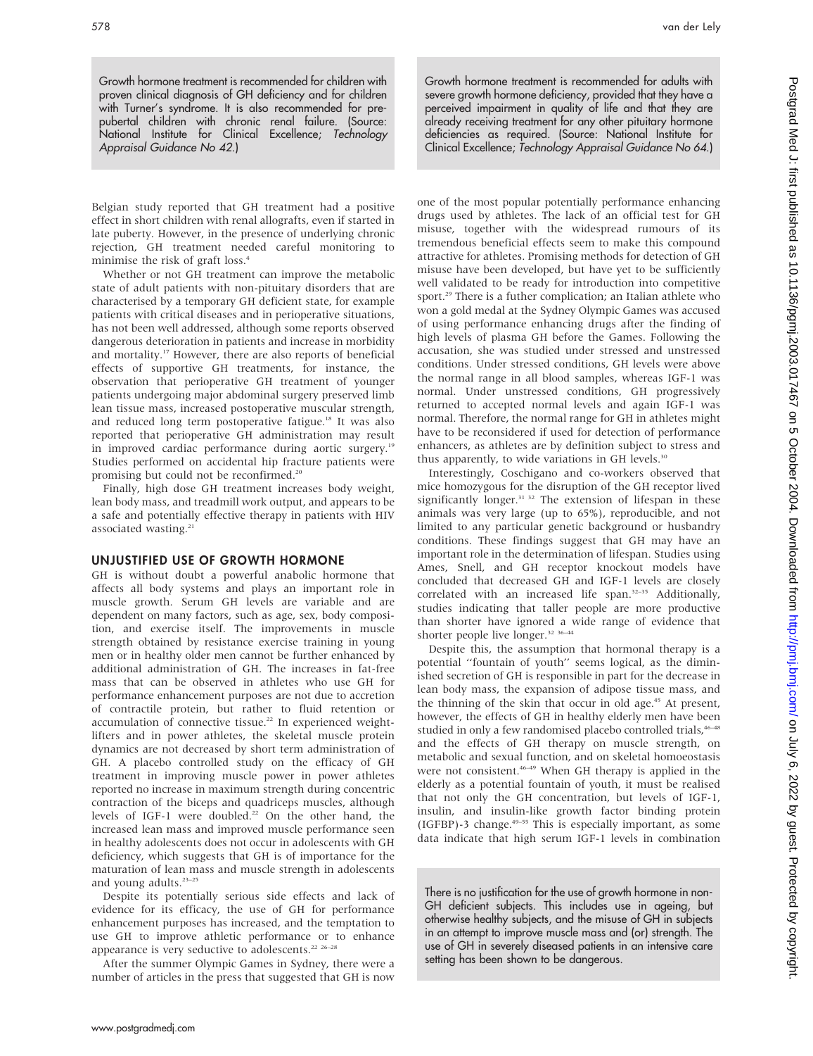Growth hormone treatment is recommended for children with proven clinical diagnosis of GH deficiency and for children with Turner's syndrome. It is also recommended for prepubertal children with chronic renal failure. (Source: National Institute for Clinical Excellence; Technology Appraisal Guidance No 42.)

Belgian study reported that GH treatment had a positive effect in short children with renal allografts, even if started in late puberty. However, in the presence of underlying chronic rejection, GH treatment needed careful monitoring to minimise the risk of graft loss.4

Whether or not GH treatment can improve the metabolic state of adult patients with non-pituitary disorders that are characterised by a temporary GH deficient state, for example patients with critical diseases and in perioperative situations, has not been well addressed, although some reports observed dangerous deterioration in patients and increase in morbidity and mortality.17 However, there are also reports of beneficial effects of supportive GH treatments, for instance, the observation that perioperative GH treatment of younger patients undergoing major abdominal surgery preserved limb lean tissue mass, increased postoperative muscular strength, and reduced long term postoperative fatigue.<sup>18</sup> It was also reported that perioperative GH administration may result in improved cardiac performance during aortic surgery.<sup>19</sup> Studies performed on accidental hip fracture patients were promising but could not be reconfirmed.<sup>20</sup>

Finally, high dose GH treatment increases body weight, lean body mass, and treadmill work output, and appears to be a safe and potentially effective therapy in patients with HIV associated wasting.<sup>21</sup>

#### UNJUSTIFIED USE OF GROWTH HORMONE

GH is without doubt a powerful anabolic hormone that affects all body systems and plays an important role in muscle growth. Serum GH levels are variable and are dependent on many factors, such as age, sex, body composition, and exercise itself. The improvements in muscle strength obtained by resistance exercise training in young men or in healthy older men cannot be further enhanced by additional administration of GH. The increases in fat-free mass that can be observed in athletes who use GH for performance enhancement purposes are not due to accretion of contractile protein, but rather to fluid retention or accumulation of connective tissue.<sup>22</sup> In experienced weightlifters and in power athletes, the skeletal muscle protein dynamics are not decreased by short term administration of GH. A placebo controlled study on the efficacy of GH treatment in improving muscle power in power athletes reported no increase in maximum strength during concentric contraction of the biceps and quadriceps muscles, although levels of IGF-1 were doubled.<sup>22</sup> On the other hand, the increased lean mass and improved muscle performance seen in healthy adolescents does not occur in adolescents with GH deficiency, which suggests that GH is of importance for the maturation of lean mass and muscle strength in adolescents and young adults. $23-25$ 

Despite its potentially serious side effects and lack of evidence for its efficacy, the use of GH for performance enhancement purposes has increased, and the temptation to use GH to improve athletic performance or to enhance appearance is very seductive to adolescents.<sup>22</sup> <sup>26-28</sup>

After the summer Olympic Games in Sydney, there were a number of articles in the press that suggested that GH is now

Growth hormone treatment is recommended for adults with severe growth hormone deficiency, provided that they have a perceived impairment in quality of life and that they are already receiving treatment for any other pituitary hormone deficiencies as required. (Source: National Institute for Clinical Excellence; Technology Appraisal Guidance No 64.)

one of the most popular potentially performance enhancing drugs used by athletes. The lack of an official test for GH misuse, together with the widespread rumours of its tremendous beneficial effects seem to make this compound attractive for athletes. Promising methods for detection of GH misuse have been developed, but have yet to be sufficiently well validated to be ready for introduction into competitive sport.<sup>29</sup> There is a futher complication; an Italian athlete who won a gold medal at the Sydney Olympic Games was accused of using performance enhancing drugs after the finding of high levels of plasma GH before the Games. Following the accusation, she was studied under stressed and unstressed conditions. Under stressed conditions, GH levels were above the normal range in all blood samples, whereas IGF-1 was normal. Under unstressed conditions, GH progressively returned to accepted normal levels and again IGF-1 was normal. Therefore, the normal range for GH in athletes might have to be reconsidered if used for detection of performance enhancers, as athletes are by definition subject to stress and thus apparently, to wide variations in GH levels.<sup>30</sup>

Interestingly, Coschigano and co-workers observed that mice homozygous for the disruption of the GH receptor lived significantly longer.<sup>31 32</sup> The extension of lifespan in these animals was very large (up to 65%), reproducible, and not limited to any particular genetic background or husbandry conditions. These findings suggest that GH may have an important role in the determination of lifespan. Studies using Ames, Snell, and GH receptor knockout models have concluded that decreased GH and IGF-1 levels are closely correlated with an increased life span.<sup>32-35</sup> Additionally, studies indicating that taller people are more productive than shorter have ignored a wide range of evidence that shorter people live longer.<sup>32</sup> <sup>36-44</sup>

Despite this, the assumption that hormonal therapy is a potential ''fountain of youth'' seems logical, as the diminished secretion of GH is responsible in part for the decrease in lean body mass, the expansion of adipose tissue mass, and the thinning of the skin that occur in old age.<sup>45</sup> At present, however, the effects of GH in healthy elderly men have been studied in only a few randomised placebo controlled trials,<sup>46-48</sup> and the effects of GH therapy on muscle strength, on metabolic and sexual function, and on skeletal homoeostasis were not consistent.<sup>46–49</sup> When GH therapy is applied in the elderly as a potential fountain of youth, it must be realised that not only the GH concentration, but levels of IGF-1, insulin, and insulin-like growth factor binding protein (IGFBP)-3 change. $49-55$  This is especially important, as some data indicate that high serum IGF-1 levels in combination

There is no justification for the use of growth hormone in non-GH deficient subjects. This includes use in ageing, but otherwise healthy subjects, and the misuse of GH in subjects in an attempt to improve muscle mass and (or) strength. The use of GH in severely diseased patients in an intensive care setting has been shown to be dangerous.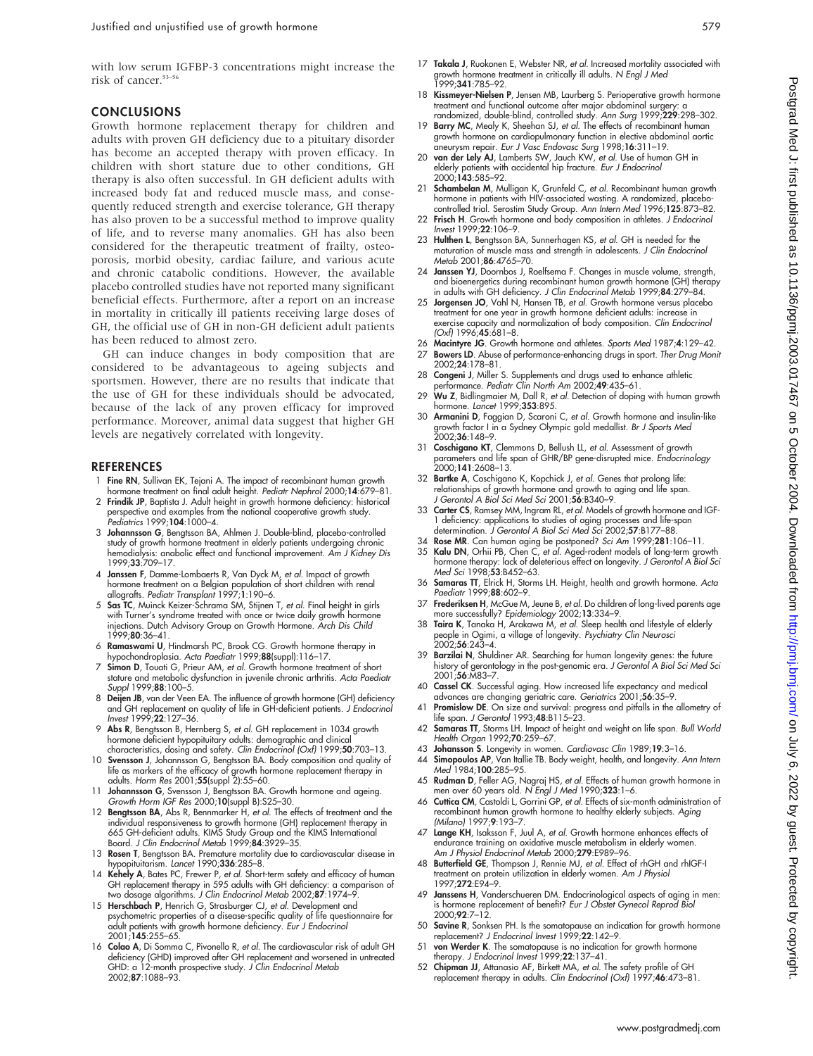with low serum IGFBP-3 concentrations might increase the risk of cancer.<sup>53-56</sup>

#### CONCLUSIONS

Growth hormone replacement therapy for children and adults with proven GH deficiency due to a pituitary disorder has become an accepted therapy with proven efficacy. In children with short stature due to other conditions, GH therapy is also often successful. In GH deficient adults with increased body fat and reduced muscle mass, and consequently reduced strength and exercise tolerance, GH therapy has also proven to be a successful method to improve quality of life, and to reverse many anomalies. GH has also been considered for the therapeutic treatment of frailty, osteoporosis, morbid obesity, cardiac failure, and various acute and chronic catabolic conditions. However, the available placebo controlled studies have not reported many significant beneficial effects. Furthermore, after a report on an increase in mortality in critically ill patients receiving large doses of GH, the official use of GH in non-GH deficient adult patients has been reduced to almost zero.

GH can induce changes in body composition that are considered to be advantageous to ageing subjects and sportsmen. However, there are no results that indicate that the use of GH for these individuals should be advocated, because of the lack of any proven efficacy for improved performance. Moreover, animal data suggest that higher GH levels are negatively correlated with longevity.

#### **REFERENCES**

- 1 Fine RN, Sullivan EK, Tejani A. The impact of recombinant human growth hormone treatment on final adult height. Pediatr Nephrol 2000;14:679–81.
- 2 Frindik JP, Baptista J. Adult height in growth hormone deficiency: historical perspective and examples from the national cooperative growth study. Pediatrics 1999;104:1000–4.
- 3 Johannsson G, Bengtsson BA, Ahlmen J. Double-blind, placebo-controlled study of growth hormone treatment in elderly patients undergoing chronic<br>hemodialysis: anabolic effect and functional improvement. A*m J Kidney Dis* 1999;33:709–17.
- 4 Janssen F, Damme-Lombaerts R, Van Dyck M, et al. Impact of growth hormone treatment on a Belgian population of short children with renal allografts. Pediatr Transplant 1997;1:190–6.
- 5 Sas TC, Muinck Keizer-Schrama SM, Stijnen T, et al. Final height in girls with Turner's syndrome treated with once or twice daily growth hormone injections. Dutch Advisory Group on Growth Hormone. Arch Dis Child 1999;80:36–41.
- 6 Ramaswami U, Hindmarsh PC, Brook CG. Growth hormone therapy in hypochondroplasia. Acta Paediatr 1999;88(suppl):116–17.
- 7 Simon D, Touati G, Prieur AM, et al. Growth hormone treatment of short stature and metabolic dysfunction in juvenile chronic arthritis. Acta Paediatr Suppl 1999;88:100–5.
- 8 Deijen JB, van der Veen EA. The influence of growth hormone (GH) deficiency and GH replacement on quality of life in GH-deficient patients. J Endocrinol Invest 1999;22:127–36.
- 9 Abs R, Bengtsson B, Hernberg S, et al. GH replacement in 1034 growth hormone deficient hypopituitary adults: demographic and clinical<br>characteristics, dosing and safety. *Clin Endocrinol (Oxf)* 1999;**50**:703–13.
- 10 Svensson J, Johannsson G, Bengtsson BA. Body composition and quality of life as markers of the efficacy of growth hormone replacement therapy in adults. Horm Res 2001;55(suppl 2):55–60.
- 11 Johannsson G, Svensson J, Bengtsson BA. Growth hormone and ageing. Growth Horm IGF Res 2000;10(suppl B):S25–30.
- 12 Bengtsson BA, Abs R, Bennmarker H, et al. The effects of treatment and the individual responsiveness to growth hormone (GH) replacement therapy in 665 GH-deficient adults. KIMS Study Group and the KIMS International Board. J Clin Endocrinol Metab 1999;84:3929-35.
- 13 Rosen T, Bengtsson BA. Premature mortality due to cardiovascular disease in hypopituitarism. Lancet 1990;336:285–8.
- 14 Kehely A, Bates PC, Frewer P, et al. Short-term safety and efficacy of human GH replacement therapy in 595 adults with GH deficiency: a comparison of two dosage algorithms. J Clin Endocrinol Metab 2002;87:1974–9.
- 15 Herschbach P, Henrich G, Strasburger CJ, et al. Development and psychometric properties of a disease-specific quality of life questionnaire for<br>adult patients with growth hormone deficiency. *Eur J Endocrinol* 2001;145:255–65.
- 16 Colao A, Di Somma C, Pivonello R, et al. The cardiovascular risk of adult GH deficiency (GHD) improved after GH replacement and worsened in untreated GHD: a 12-month prospective study. J Clin Endocrinol Metab 2002;87:1088–93.
- 17 Takala J, Ruokonen E, Webster NR, et al. Increased mortality associated with growth hormone treatment in critically ill adults. N Engl J Med 999**·341**·785–92
- 18 Kissmeyer-Nielsen P, Jensen MB, Laurberg S. Perioperative growth hormone treatment and functional outcome after major abdominal surgery: a
- randomized, double-blind, controlled study. Ann Surg 1999;229:298–302. 19 Barry MC, Mealy K, Sheehan SJ, et al. The effects of recombinant human growth hormone on cardiopulmonary function in elective abdominal aortic aneurysm repair. Eur J Vasc Endovasc Surg 1998;16:311–19.
- 20 van der Lely AJ, Lamberts SW, Jauch KW, et al. Use of human GH in elderly patients with accidental hip fracture. Eur J Endocrinol 2000;143:585–92.
- 21 Schambelan M, Mulligan K, Grunfeld C, et al. Recombinant human growth hormone in patients with HIV-associated wasting. A randomized, placebocontrolled trial. Serostim Study Group. Ann Intern Med 1996;125:873–82.
- 22 Frisch H. Growth hormone and body composition in athletes. J Endocrinol Invest 1999;22:106–9.
- 23 Hulthen L, Bengtsson BA, Sunnerhagen KS, et al. GH is needed for the maturation of muscle mass and strength in adolescents. J Clin Endocrinol Metab 2001;86:4765–70.
- 24 Janssen YJ, Doornbos J, Roelfsema F. Changes in muscle volume, strength, and bioenergetics during recombinant human growth hormone (GH) therapy<br>in adults with GH deficiency. *J Clin Endocrinol Metab* 1999;**84**:279–84.
- 25 Jorgensen JO, Vahl N, Hansen TB, et al. Growth hormone versus placebo treatment for one year in growth hormone deficient adults: increase in exercise capacity and normalization of body composition. Clin Endocrinol (Oxf) 1996;45:681–8.
- 26 Macintyre JG. Growth hormone and athletes. Sports Med 1987;4:129–42. 27 Bowers LD. Abuse of performance-enhancing drugs in sport. Ther Drug Monit
- 2002;24:178–81. 28 Congeni J, Miller S. Supplements and drugs used to enhance athletic performance. Pediatr Clin North Am 2002;49:435–61.
- 29 Wu Z, Bidlingmaier M, Dall R, et al. Detection of doping with human growth hormone. Lancet 1999;353:895.
- 30 Armanini D, Faggian D, Scaroni C, et al. Growth hormone and insulin-like growth factor I in a Sydney Olympic gold medallist. *Br J Sports Mec*<br>2002;**36**:148–9.
- 31 Coschigano KT, Clemmons D, Bellush LL, et al. Assessment of growth parameters and life span of GHR/BP gene-disrupted mice. Endocrinology 2000;141:2608–13.
- 32 Bartke A, Coschigano K, Kopchick J, et al. Genes that prolong life: relationships of growth hormone and growth to aging and life span. J Gerontol A Biol Sci Med Sci 2001;56:B340–9.
- 33 **Carter CS**, Ramsey MM, Ingram RL, *et al.* Models of growth hormone and IGF-<br>1 deficiency: applications to studies of aging processes and life-span determination. J Gerontol A Biol Sci Med Sci 2002;57:B177-88.
- 
- 34 **Rose MR**. Can human aging be postponed? *Sci Am* 1999;**281**:106–11.<br>35 **Kalu DN**, Orhii PB, Chen C, *et al.* Aged-rodent models of long-term growth hormone therapy: lack of deleterious effect on longevity. J Gerontol A Biol Sci Med Sci 1998:53:B452-63.
- 36 Samaras TT, Elrick H, Storms LH. Height, health and growth hormone. Acta Paediatr 1999;88:602–9.
- 37 Frederiksen H, McGue M, Jeune B, et al. Do children of long-lived parents age more successtully? *Epidemiology* 2002;13:334–9.<br>38 Taira K, Tanaka H, Arakawa M, *et al.* Sleep health and lifestyle of elderly
- people in Ogimi, a village of longevity. Psychiatry Clin Neurosci  $2002.56.243 - 4$
- 39 Barzilai N, Shuldiner AR. Searching for human longevity genes: the future history of gerontology in the post-genomic era. J Gerontol A Biol Sci Med Sci 2001;56:M83–7.
- 40 Cassel CK. Successful aging. How increased life expectancy and medical advances are changing geriatric care. Geriatrics 2001;56:35–9.
- 41 Promislow DE. On size and survival: progress and pitfalls in the allometry of life span. J Gerontol 1993;48:B115-23.
- 42 Samaras TT, Storms LH. Impact of height and weight on life span. Bull World Health Organ 1992;70:259–67.
- 43 Johansson S. Longevity in women. Cardiovasc Clin 1989;19:3-16.
- 44 Simopoulos AP, Van Itallie TB. Body weight, health, and longevity. Ann Intern Med 1984;100:285–95.
- 45 Rudman D, Feller AG, Nagraj HS, et al. Effects of human growth hormone in men over 60 years old. N Engl J Med 1990;323:1–6.
- 46 Cuttica CM, Castoldi L, Gorrini GP, et al. Effects of six-month administration of recombinant human growth hormone to healthy elderly subjects. Aging (Milano) 1997;9:193–7.
- 47 Lange KH, Isaksson F, Juul A, et al. Growth hormone enhances effects of endurance training on oxidative muscle metabolism in elderly women. Am J Physiol Endocrinol Metab 2000;279:E989–96.
- 48 Butterfield GE, Thompson J, Rennie MJ, et al. Effect of rhGH and rhIGF-I treatment on protein utilization in elderly women. Am J Physiol 1997;272:E94–9.
- 49 Janssens H, Vanderschueren DM. Endocrinological aspects of aging in men: is hormone replacement of benefit? Eur J Obstet Gynecol Reprod Biol 2000;92:7–12.
- 50 Savine R, Sonksen PH. Is the somatopause an indication for growth hormone replacement? J Endocrinol Invest 1999;22:142–9.
- 51 von Werder K. The somatopause is no indication for growth hormone therapy. J Endocrinol Invest 1999;22:137-41.
- 52 Chipman JJ, Attanasio AF, Birkett MA, et al. The safety profile of GH replacement therapy in adults. Clin Endocrinol (Oxf) 1997;46:473–81.